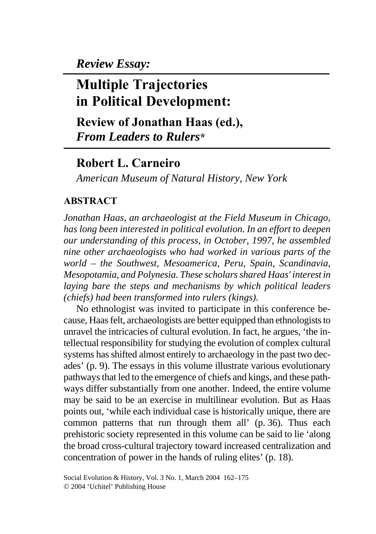*Review Essay:* 

# **Multiple Trajectories in Political Development:**

**Review of Jonathan Haas (ed.),**  *From Leaders to Rulers***\***

## **Robert L. Carneiro**

*American Museum of Natural History, New York* 

### **ABSTRACT**

*Jonathan Haas, an archaeologist at the Field Museum in Chicago, has long been interested in political evolution. In an effort to deepen our understanding of this process, in October, 1997, he assembled nine other archaeologists who had worked in various parts of the world – the Southwest, Mesoamerica, Peru, Spain, Scandinavia, Mesopotamia, and Polynesia. These scholars shared Haas' interest in laying bare the steps and mechanisms by which political leaders (chiefs) had been transformed into rulers (kings).* 

No ethnologist was invited to participate in this conference because, Haas felt, archaeologists are better equipped than ethnologists to unravel the intricacies of cultural evolution. In fact, he argues, 'the intellectual responsibility for studying the evolution of complex cultural systems has shifted almost entirely to archaeology in the past two decades' (p. 9). The essays in this volume illustrate various evolutionary pathways that led to the emergence of chiefs and kings, and these pathways differ substantially from one another. Indeed, the entire volume may be said to be an exercise in multilinear evolution. But as Haas points out, 'while each individual case is historically unique, there are common patterns that run through them all' (p. 36). Thus each prehistoric society represented in this volume can be said to lie 'along the broad cross-cultural trajectory toward increased centralization and concentration of power in the hands of ruling elites' (p. 18).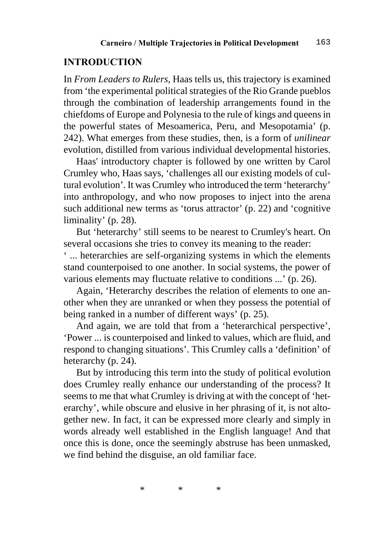#### **INTRODUCTION**

In *From Leaders to Rulers,* Haas tells us, this trajectory is examined from 'the experimental political strategies of the Rio Grande pueblos through the combination of leadership arrangements found in the chiefdoms of Europe and Polynesia to the rule of kings and queens in the powerful states of Mesoamerica, Peru, and Mesopotamia' (p. 242). What emerges from these studies, then, is a form of *unilinear*  evolution, distilled from various individual developmental histories.

Haas' introductory chapter is followed by one written by Carol Crumley who, Haas says, 'challenges all our existing models of cultural evolution'. It was Crumley who introduced the term 'heterarchy' into anthropology, and who now proposes to inject into the arena such additional new terms as 'torus attractor' (p. 22) and 'cognitive liminality' (p. 28).

But 'heterarchy' still seems to be nearest to Crumley's heart. On several occasions she tries to convey its meaning to the reader:

' ... heterarchies are self-organizing systems in which the elements stand counterpoised to one another. In social systems, the power of various elements may fluctuate relative to conditions ...' (p. 26).

Again, 'Heterarchy describes the relation of elements to one another when they are unranked or when they possess the potential of being ranked in a number of different ways' (p. 25).

And again, we are told that from a 'heterarchical perspective', 'Power ... is counterpoised and linked to values, which are fluid, and respond to changing situations'. This Crumley calls a 'definition' of heterarchy (p. 24).

But by introducing this term into the study of political evolution does Crumley really enhance our understanding of the process? It seems to me that what Crumley is driving at with the concept of 'heterarchy', while obscure and elusive in her phrasing of it, is not altogether new. In fact, it can be expressed more clearly and simply in words already well established in the English language! And that once this is done, once the seemingly abstruse has been unmasked, we find behind the disguise, an old familiar face.

\*\*\*\*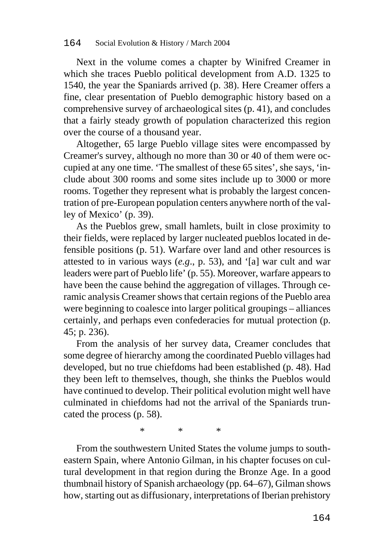Next in the volume comes a chapter by Winifred Creamer in which she traces Pueblo political development from A.D. 1325 to 1540, the year the Spaniards arrived (p. 38). Here Creamer offers a fine, clear presentation of Pueblo demographic history based on a comprehensive survey of archaeological sites (p. 41), and concludes that a fairly steady growth of population characterized this region over the course of a thousand year.

Altogether, 65 large Pueblo village sites were encompassed by Creamer's survey, although no more than 30 or 40 of them were occupied at any one time. 'The smallest of these 65 sites', she says, 'include about 300 rooms and some sites include up to 3000 or more rooms. Together they represent what is probably the largest concentration of pre-European population centers anywhere north of the valley of Mexico' (p. 39).

As the Pueblos grew, small hamlets, built in close proximity to their fields, were replaced by larger nucleated pueblos located in defensible positions (p. 51). Warfare over land and other resources is attested to in various ways (*e.g*., p. 53), and '[a] war cult and war leaders were part of Pueblo life' (p. 55). Moreover, warfare appears to have been the cause behind the aggregation of villages. Through ceramic analysis Creamer shows that certain regions of the Pueblo area were beginning to coalesce into larger political groupings – alliances certainly, and perhaps even confederacies for mutual protection (p. 45; p. 236).

From the analysis of her survey data, Creamer concludes that some degree of hierarchy among the coordinated Pueblo villages had developed, but no true chiefdoms had been established (p. 48). Had they been left to themselves, though, she thinks the Pueblos would have continued to develop. Their political evolution might well have culminated in chiefdoms had not the arrival of the Spaniards truncated the process (p. 58).

\*\*\*\*

From the southwestern United States the volume jumps to southeastern Spain, where Antonio Gilman, in his chapter focuses on cultural development in that region during the Bronze Age. In a good thumbnail history of Spanish archaeology (pp. 64–67), Gilman shows how, starting out as diffusionary, interpretations of Iberian prehistory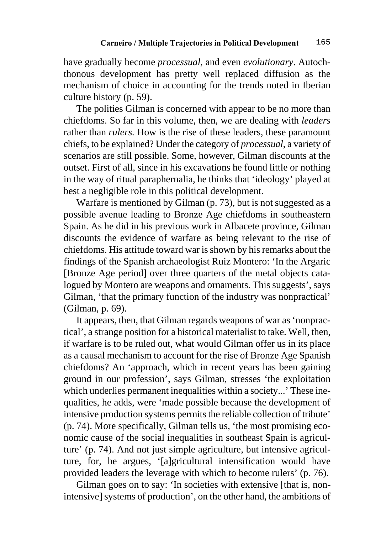have gradually become *processual*, and even *evolutionary*. Autochthonous development has pretty well replaced diffusion as the mechanism of choice in accounting for the trends noted in Iberian culture history (p. 59).

The polities Gilman is concerned with appear to be no more than chiefdoms. So far in this volume, then, we are dealing with *leaders*  rather than *rulers*. How is the rise of these leaders, these paramount chiefs, to be explained? Under the category of *processual*, a variety of scenarios are still possible. Some, however, Gilman discounts at the outset. First of all, since in his excavations he found little or nothing in the way of ritual paraphernalia, he thinks that 'ideology' played at best a negligible role in this political development.

Warfare is mentioned by Gilman (p. 73), but is not suggested as a possible avenue leading to Bronze Age chiefdoms in southeastern Spain. As he did in his previous work in Albacete province, Gilman discounts the evidence of warfare as being relevant to the rise of chiefdoms. His attitude toward war is shown by his remarks about the findings of the Spanish archaeologist Ruiz Montero: 'In the Argaric [Bronze Age period] over three quarters of the metal objects catalogued by Montero are weapons and ornaments. This suggests', says Gilman, 'that the primary function of the industry was nonpractical' (Gilman, p. 69).

It appears, then, that Gilman regards weapons of war as 'nonpractical', a strange position for a historical materialist to take. Well, then, if warfare is to be ruled out, what would Gilman offer us in its place as a causal mechanism to account for the rise of Bronze Age Spanish chiefdoms? An 'approach, which in recent years has been gaining ground in our profession', says Gilman, stresses 'the exploitation which underlies permanent inequalities within a society...' These inequalities, he adds, were 'made possible because the development of intensive production systems permits the reliable collection of tribute' (p. 74). More specifically, Gilman tells us, 'the most promising economic cause of the social inequalities in southeast Spain is agriculture' (p. 74). And not just simple agriculture, but intensive agriculture, for, he argues, '[a]gricultural intensification would have provided leaders the leverage with which to become rulers' (p. 76).

Gilman goes on to say: 'In societies with extensive [that is, nonintensive] systems of production', on the other hand, the ambitions of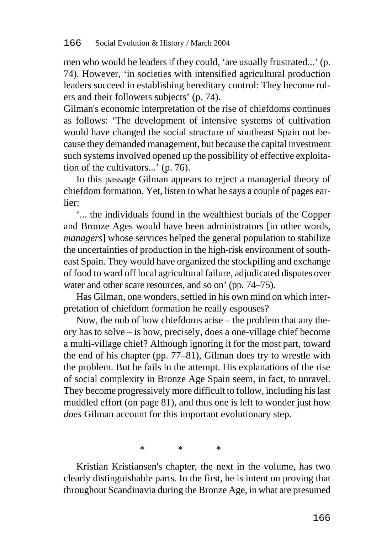men who would be leaders if they could, 'are usually frustrated...' (p. 74). However, 'in societies with intensified agricultural production leaders succeed in establishing hereditary control: They become rulers and their followers subjects' (p. 74).

Gilman's economic interpretation of the rise of chiefdoms continues as follows: 'The development of intensive systems of cultivation would have changed the social structure of southeast Spain not because they demanded management, but because the capital investment such systems involved opened up the possibility of effective exploitation of the cultivators...' (p. 76).

In this passage Gilman appears to reject a managerial theory of chiefdom formation. Yet, listen to what he says a couple of pages earlier:

'... the individuals found in the wealthiest burials of the Copper and Bronze Ages would have been administrators [in other words, *managers*] whose services helped the general population to stabilize the uncertainties of production in the high-risk environment of southeast Spain. They would have organized the stockpiling and exchange of food to ward off local agricultural failure, adjudicated disputes over water and other scare resources, and so on' (pp. 74–75).

Has Gilman, one wonders, settled in his own mind on which interpretation of chiefdom formation he really espouses?

Now, the nub of how chiefdoms arise – the problem that any theory has to solve – is how, precisely, does a one-village chief become a multi-village chief? Although ignoring it for the most part, toward the end of his chapter (pp. 77–81), Gilman does try to wrestle with the problem. But he fails in the attempt. His explanations of the rise of social complexity in Bronze Age Spain seem, in fact, to unravel. They become progressively more difficult to follow, including his last muddled effort (on page 81), and thus one is left to wonder just how *does* Gilman account for this important evolutionary step.

\*\*\*\*

Kristian Kristiansen's chapter, the next in the volume, has two clearly distinguishable parts. In the first, he is intent on proving that throughout Scandinavia during the Bronze Age, in what are presumed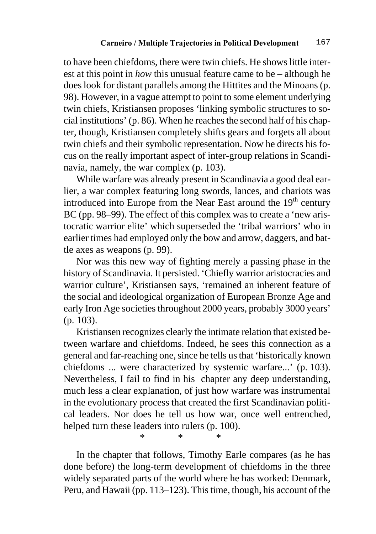to have been chiefdoms, there were twin chiefs. He shows little interest at this point in *how* this unusual feature came to be – although he does look for distant parallels among the Hittites and the Minoans (p. 98). However, in a vague attempt to point to some element underlying twin chiefs, Kristiansen proposes 'linking symbolic structures to social institutions' (p. 86). When he reaches the second half of his chapter, though, Kristiansen completely shifts gears and forgets all about twin chiefs and their symbolic representation. Now he directs his focus on the really important aspect of inter-group relations in Scandinavia, namely, the war complex (p. 103).

While warfare was already present in Scandinavia a good deal earlier, a war complex featuring long swords, lances, and chariots was introduced into Europe from the Near East around the  $19<sup>th</sup>$  century BC (pp. 98–99). The effect of this complex was to create a 'new aristocratic warrior elite' which superseded the 'tribal warriors' who in earlier times had employed only the bow and arrow, daggers, and battle axes as weapons (p. 99).

Nor was this new way of fighting merely a passing phase in the history of Scandinavia. It persisted. 'Chiefly warrior aristocracies and warrior culture', Kristiansen says, 'remained an inherent feature of the social and ideological organization of European Bronze Age and early Iron Age societies throughout 2000 years, probably 3000 years' (p. 103).

Kristiansen recognizes clearly the intimate relation that existed between warfare and chiefdoms. Indeed, he sees this connection as a general and far-reaching one, since he tells us that 'historically known chiefdoms ... were characterized by systemic warfare...' (p. 103). Nevertheless, I fail to find in his chapter any deep understanding, much less a clear explanation, of just how warfare was instrumental in the evolutionary process that created the first Scandinavian political leaders. Nor does he tell us how war, once well entrenched, helped turn these leaders into rulers (p. 100).

\*\*\*\*

In the chapter that follows, Timothy Earle compares (as he has done before) the long-term development of chiefdoms in the three widely separated parts of the world where he has worked: Denmark, Peru, and Hawaii (pp. 113–123). This time, though, his account of the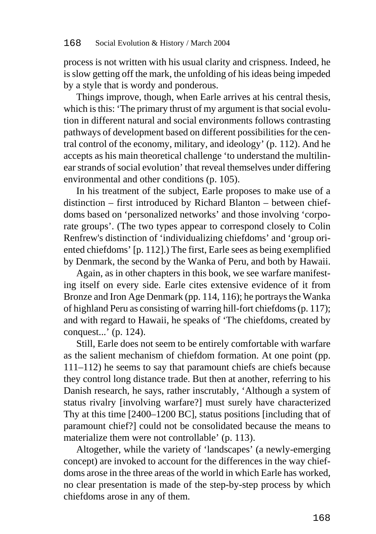process is not written with his usual clarity and crispness. Indeed, he is slow getting off the mark, the unfolding of his ideas being impeded by a style that is wordy and ponderous.

Things improve, though, when Earle arrives at his central thesis, which is this: 'The primary thrust of my argument is that social evolution in different natural and social environments follows contrasting pathways of development based on different possibilities for the central control of the economy, military, and ideology' (p. 112). And he accepts as his main theoretical challenge 'to understand the multilinear strands of social evolution' that reveal themselves under differing environmental and other conditions (p. 105).

In his treatment of the subject, Earle proposes to make use of a distinction – first introduced by Richard Blanton – between chiefdoms based on 'personalized networks' and those involving 'corporate groups'. (The two types appear to correspond closely to Colin Renfrew's distinction of 'individualizing chiefdoms' and 'group oriented chiefdoms' [p. 112].) The first, Earle sees as being exemplified by Denmark, the second by the Wanka of Peru, and both by Hawaii.

Again, as in other chapters in this book, we see warfare manifesting itself on every side. Earle cites extensive evidence of it from Bronze and Iron Age Denmark (pp. 114, 116); he portrays the Wanka of highland Peru as consisting of warring hill-fort chiefdoms (p. 117); and with regard to Hawaii, he speaks of 'The chiefdoms, created by conquest...' (p. 124).

Still, Earle does not seem to be entirely comfortable with warfare as the salient mechanism of chiefdom formation. At one point (pp. 111–112) he seems to say that paramount chiefs are chiefs because they control long distance trade. But then at another, referring to his Danish research, he says, rather inscrutably, 'Although a system of status rivalry [involving warfare?] must surely have characterized Thy at this time [2400–1200 BC], status positions [including that of paramount chief?] could not be consolidated because the means to materialize them were not controllable' (p. 113).

Altogether, while the variety of 'landscapes' (a newly-emerging concept) are invoked to account for the differences in the way chiefdoms arose in the three areas of the world in which Earle has worked, no clear presentation is made of the step-by-step process by which chiefdoms arose in any of them.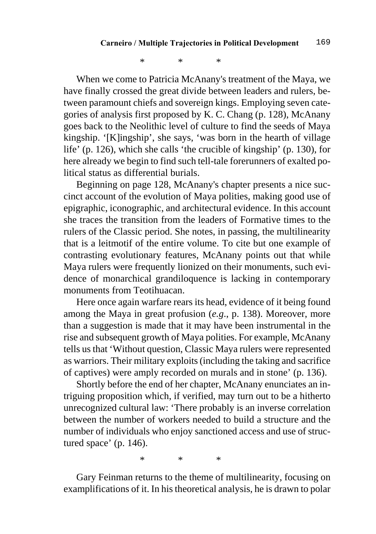\*\*\*\*

When we come to Patricia McAnany's treatment of the Maya, we have finally crossed the great divide between leaders and rulers, between paramount chiefs and sovereign kings. Employing seven categories of analysis first proposed by K. C. Chang (p. 128), McAnany goes back to the Neolithic level of culture to find the seeds of Maya kingship. '[K]ingship', she says, 'was born in the hearth of village life' (p. 126), which she calls 'the crucible of kingship' (p. 130), for here already we begin to find such tell-tale forerunners of exalted political status as differential burials.

Beginning on page 128, McAnany's chapter presents a nice succinct account of the evolution of Maya polities, making good use of epigraphic, iconographic, and architectural evidence. In this account she traces the transition from the leaders of Formative times to the rulers of the Classic period. She notes, in passing, the multilinearity that is a leitmotif of the entire volume. To cite but one example of contrasting evolutionary features, McAnany points out that while Maya rulers were frequently lionized on their monuments, such evidence of monarchical grandiloquence is lacking in contemporary monuments from Teotihuacan.

Here once again warfare rears its head, evidence of it being found among the Maya in great profusion (*e.g*., p. 138). Moreover, more than a suggestion is made that it may have been instrumental in the rise and subsequent growth of Maya polities. For example, McAnany tells us that 'Without question, Classic Maya rulers were represented as warriors. Their military exploits (including the taking and sacrifice of captives) were amply recorded on murals and in stone' (p. 136).

Shortly before the end of her chapter, McAnany enunciates an intriguing proposition which, if verified, may turn out to be a hitherto unrecognized cultural law: 'There probably is an inverse correlation between the number of workers needed to build a structure and the number of individuals who enjoy sanctioned access and use of structured space' (p. 146).

\*\*\*\*

Gary Feinman returns to the theme of multilinearity, focusing on examplifications of it. In his theoretical analysis, he is drawn to polar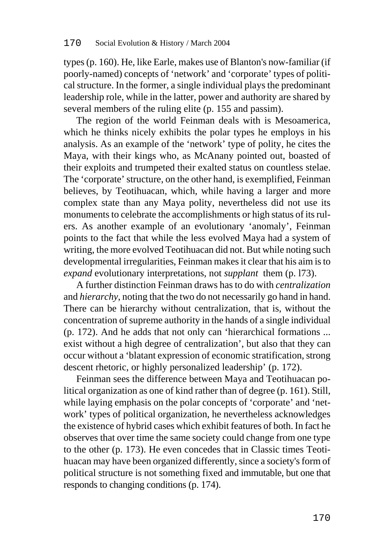types (p. 160). He, like Earle, makes use of Blanton's now-familiar (if poorly-named) concepts of 'network' and 'corporate' types of political structure. In the former, a single individual plays the predominant leadership role, while in the latter, power and authority are shared by several members of the ruling elite (p. 155 and passim).

The region of the world Feinman deals with is Mesoamerica, which he thinks nicely exhibits the polar types he employs in his analysis. As an example of the 'network' type of polity, he cites the Maya, with their kings who, as McAnany pointed out, boasted of their exploits and trumpeted their exalted status on countless stelae. The 'corporate' structure, on the other hand, is exemplified, Feinman believes, by Teotihuacan, which, while having a larger and more complex state than any Maya polity, nevertheless did not use its monuments to celebrate the accomplishments or high status of its rulers. As another example of an evolutionary 'anomaly', Feinman points to the fact that while the less evolved Maya had a system of writing, the more evolved Teotihuacan did not. But while noting such developmental irregularities, Feinman makes it clear that his aim is to *expand* evolutionary interpretations, not *supplant* them (p. l73).

A further distinction Feinman draws has to do with *centralization*  and *hierarchy*, noting that the two do not necessarily go hand in hand. There can be hierarchy without centralization, that is, without the concentration of supreme authority in the hands of a single individual (p. 172). And he adds that not only can 'hierarchical formations ... exist without a high degree of centralization', but also that they can occur without a 'blatant expression of economic stratification, strong descent rhetoric, or highly personalized leadership' (p. 172).

Feinman sees the difference between Maya and Teotihuacan political organization as one of kind rather than of degree (p. 161). Still, while laying emphasis on the polar concepts of 'corporate' and 'network' types of political organization, he nevertheless acknowledges the existence of hybrid cases which exhibit features of both. In fact he observes that over time the same society could change from one type to the other (p. 173). He even concedes that in Classic times Teotihuacan may have been organized differently, since a society's form of political structure is not something fixed and immutable, but one that responds to changing conditions (p. 174).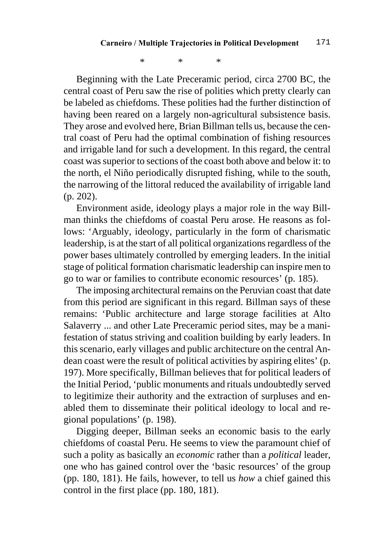\*\*\*\*

Beginning with the Late Preceramic period, circa 2700 BC, the central coast of Peru saw the rise of polities which pretty clearly can be labeled as chiefdoms. These polities had the further distinction of having been reared on a largely non-agricultural subsistence basis. They arose and evolved here, Brian Billman tells us, because the central coast of Peru had the optimal combination of fishing resources and irrigable land for such a development. In this regard, the central coast was superior to sections of the coast both above and below it: to the north, el Niño periodically disrupted fishing, while to the south, the narrowing of the littoral reduced the availability of irrigable land (p. 202).

Environment aside, ideology plays a major role in the way Billman thinks the chiefdoms of coastal Peru arose. He reasons as follows: 'Arguably, ideology, particularly in the form of charismatic leadership, is at the start of all political organizations regardless of the power bases ultimately controlled by emerging leaders. In the initial stage of political formation charismatic leadership can inspire men to go to war or families to contribute economic resources' (p. 185).

The imposing architectural remains on the Peruvian coast that date from this period are significant in this regard. Billman says of these remains: 'Public architecture and large storage facilities at Alto Salaverry ... and other Late Preceramic period sites, may be a manifestation of status striving and coalition building by early leaders. In this scenario, early villages and public architecture on the central Andean coast were the result of political activities by aspiring elites' (p. 197). More specifically, Billman believes that for political leaders of the Initial Period, 'public monuments and rituals undoubtedly served to legitimize their authority and the extraction of surpluses and enabled them to disseminate their political ideology to local and regional populations' (p. 198).

Digging deeper, Billman seeks an economic basis to the early chiefdoms of coastal Peru. He seems to view the paramount chief of such a polity as basically an *economic* rather than a *political* leader, one who has gained control over the 'basic resources' of the group (pp. 180, 181). He fails, however, to tell us *how* a chief gained this control in the first place (pp. 180, 181).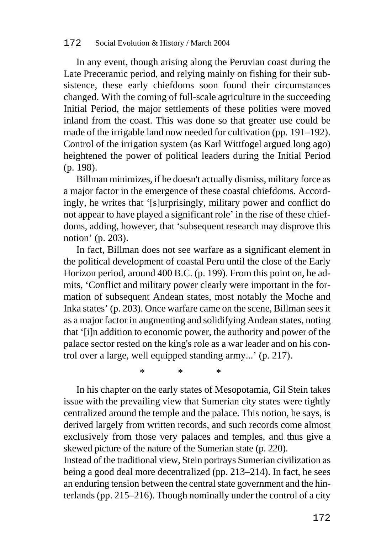#### 172 Social Evolution & History / March 2004

In any event, though arising along the Peruvian coast during the Late Preceramic period, and relying mainly on fishing for their subsistence, these early chiefdoms soon found their circumstances changed. With the coming of full-scale agriculture in the succeeding Initial Period, the major settlements of these polities were moved inland from the coast. This was done so that greater use could be made of the irrigable land now needed for cultivation (pp. 191–192). Control of the irrigation system (as Karl Wittfogel argued long ago) heightened the power of political leaders during the Initial Period (p. 198).

Billman minimizes, if he doesn't actually dismiss, military force as a major factor in the emergence of these coastal chiefdoms. Accordingly, he writes that '[s]urprisingly, military power and conflict do not appear to have played a significant role' in the rise of these chiefdoms, adding, however, that 'subsequent research may disprove this notion' (p. 203).

In fact, Billman does not see warfare as a significant element in the political development of coastal Peru until the close of the Early Horizon period, around 400 B.C. (p. 199). From this point on, he admits, 'Conflict and military power clearly were important in the formation of subsequent Andean states, most notably the Moche and Inka states' (p. 203). Once warfare came on the scene, Billman sees it as a major factor in augmenting and solidifying Andean states, noting that '[i]n addition to economic power, the authority and power of the palace sector rested on the king's role as a war leader and on his control over a large, well equipped standing army...' (p. 217).

\*\*\*\*

In his chapter on the early states of Mesopotamia, Gil Stein takes issue with the prevailing view that Sumerian city states were tightly centralized around the temple and the palace. This notion, he says, is derived largely from written records, and such records come almost exclusively from those very palaces and temples, and thus give a skewed picture of the nature of the Sumerian state (p. 220).

Instead of the traditional view, Stein portrays Sumerian civilization as being a good deal more decentralized (pp. 213–214). In fact, he sees an enduring tension between the central state government and the hinterlands (pp. 215–216). Though nominally under the control of a city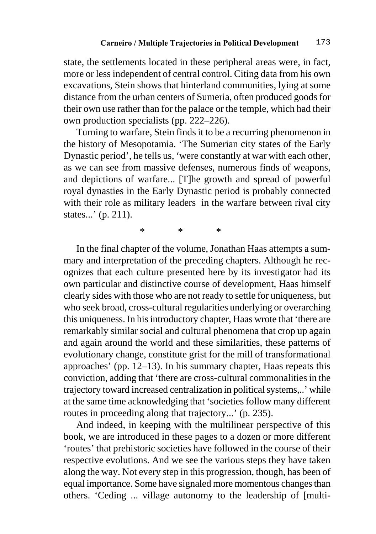state, the settlements located in these peripheral areas were, in fact, more or less independent of central control. Citing data from his own excavations, Stein shows that hinterland communities, lying at some distance from the urban centers of Sumeria, often produced goods for their own use rather than for the palace or the temple, which had their own production specialists (pp. 222–226).

Turning to warfare, Stein finds it to be a recurring phenomenon in the history of Mesopotamia. 'The Sumerian city states of the Early Dynastic period', he tells us, 'were constantly at war with each other, as we can see from massive defenses, numerous finds of weapons, and depictions of warfare... [T]he growth and spread of powerful royal dynasties in the Early Dynastic period is probably connected with their role as military leaders in the warfare between rival city states...' (p. 211).

\*\*\*\*

In the final chapter of the volume, Jonathan Haas attempts a summary and interpretation of the preceding chapters. Although he recognizes that each culture presented here by its investigator had its own particular and distinctive course of development, Haas himself clearly sides with those who are not ready to settle for uniqueness, but who seek broad, cross-cultural regularities underlying or overarching this uniqueness. In his introductory chapter, Haas wrote that 'there are remarkably similar social and cultural phenomena that crop up again and again around the world and these similarities, these patterns of evolutionary change, constitute grist for the mill of transformational approaches' (pp. 12–13). In his summary chapter, Haas repeats this conviction, adding that 'there are cross-cultural commonalities in the trajectory toward increased centralization in political systems,..' while at the same time acknowledging that 'societies follow many different routes in proceeding along that trajectory...' (p. 235).

And indeed, in keeping with the multilinear perspective of this book, we are introduced in these pages to a dozen or more different 'routes' that prehistoric societies have followed in the course of their respective evolutions. And we see the various steps they have taken along the way. Not every step in this progression, though, has been of equal importance. Some have signaled more momentous changes than others. 'Ceding ... village autonomy to the leadership of [multi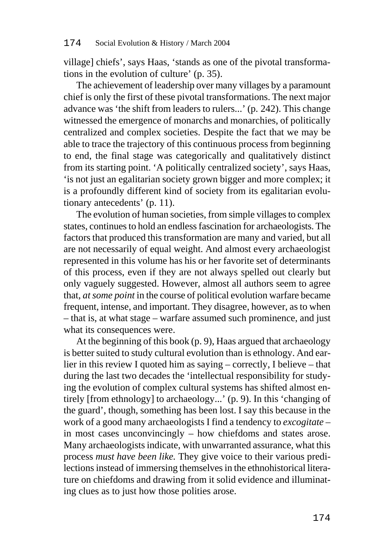village] chiefs', says Haas, 'stands as one of the pivotal transformations in the evolution of culture' (p. 35).

The achievement of leadership over many villages by a paramount chief is only the first of these pivotal transformations. The next major advance was 'the shift from leaders to rulers...' (p. 242). This change witnessed the emergence of monarchs and monarchies, of politically centralized and complex societies. Despite the fact that we may be able to trace the trajectory of this continuous process from beginning to end, the final stage was categorically and qualitatively distinct from its starting point. 'A politically centralized society', says Haas, 'is not just an egalitarian society grown bigger and more complex; it is a profoundly different kind of society from its egalitarian evolutionary antecedents' (p. 11).

The evolution of human societies, from simple villages to complex states, continues to hold an endless fascination for archaeologists. The factors that produced this transformation are many and varied, but all are not necessarily of equal weight. And almost every archaeologist represented in this volume has his or her favorite set of determinants of this process, even if they are not always spelled out clearly but only vaguely suggested. However, almost all authors seem to agree that, *at some point* in the course of political evolution warfare became frequent, intense, and important. They disagree, however, as to when – that is, at what stage – warfare assumed such prominence, and just what its consequences were.

At the beginning of this book (p. 9), Haas argued that archaeology is better suited to study cultural evolution than is ethnology. And earlier in this review I quoted him as saying – correctly, I believe – that during the last two decades the 'intellectual responsibility for studying the evolution of complex cultural systems has shifted almost entirely [from ethnology] to archaeology...' (p. 9). In this 'changing of the guard', though, something has been lost. I say this because in the work of a good many archaeologists I find a tendency to *excogitate –*  in most cases unconvincingly – how chiefdoms and states arose. Many archaeologists indicate, with unwarranted assurance, what this process *must have been like.* They give voice to their various predilections instead of immersing themselves in the ethnohistorical literature on chiefdoms and drawing from it solid evidence and illuminating clues as to just how those polities arose.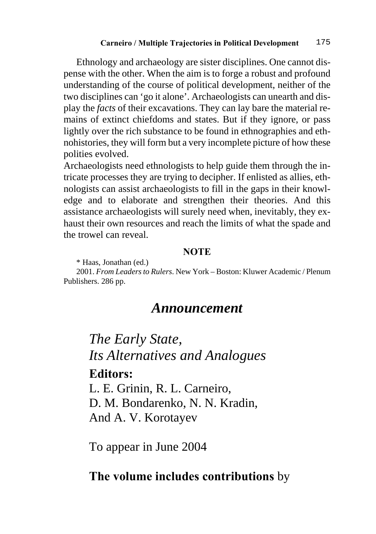Ethnology and archaeology are sister disciplines. One cannot dispense with the other. When the aim is to forge a robust and profound understanding of the course of political development, neither of the two disciplines can 'go it alone'. Archaeologists can unearth and display the *facts* of their excavations. They can lay bare the material remains of extinct chiefdoms and states. But if they ignore, or pass lightly over the rich substance to be found in ethnographies and ethnohistories, they will form but a very incomplete picture of how these polities evolved.

Archaeologists need ethnologists to help guide them through the intricate processes they are trying to decipher. If enlisted as allies, ethnologists can assist archaeologists to fill in the gaps in their knowledge and to elaborate and strengthen their theories. And this assistance archaeologists will surely need when, inevitably, they exhaust their own resources and reach the limits of what the spade and the trowel can reveal.

#### **NOTE**

\* Haas, Jonathan (ed.)

2001. *From Leaders to Rulers*. New York – Boston: Kluwer Academic / Plenum Publishers. 286 pp.

### *Announcement*

*The Early State, Its Alternatives and Analogues*  **Editors:** 

L. E. Grinin, R. L. Carneiro, D. M. Bondarenko, N. N. Kradin, And A. V. Korotayev

To appear in June 2004

### **The volume includes contributions** by